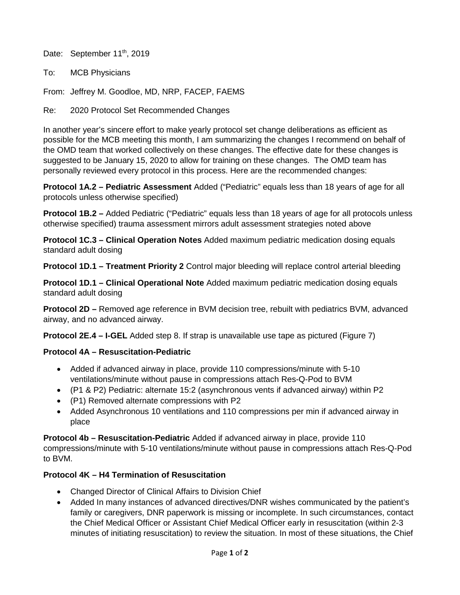Date: September 11<sup>th</sup>, 2019

To: MCB Physicians

From: Jeffrey M. Goodloe, MD, NRP, FACEP, FAEMS

Re: 2020 Protocol Set Recommended Changes

In another year's sincere effort to make yearly protocol set change deliberations as efficient as possible for the MCB meeting this month, I am summarizing the changes I recommend on behalf of the OMD team that worked collectively on these changes. The effective date for these changes is suggested to be January 15, 2020 to allow for training on these changes. The OMD team has personally reviewed every protocol in this process. Here are the recommended changes:

**Protocol 1A.2 – Pediatric Assessment** Added ("Pediatric" equals less than 18 years of age for all protocols unless otherwise specified)

**Protocol 1B.2 –** Added Pediatric ("Pediatric" equals less than 18 years of age for all protocols unless otherwise specified) trauma assessment mirrors adult assessment strategies noted above

**Protocol 1C.3 – Clinical Operation Notes** Added maximum pediatric medication dosing equals standard adult dosing

**Protocol 1D.1 – Treatment Priority 2** Control major bleeding will replace control arterial bleeding

**Protocol 1D.1 – Clinical Operational Note** Added maximum pediatric medication dosing equals standard adult dosing

**Protocol 2D –** Removed age reference in BVM decision tree, rebuilt with pediatrics BVM, advanced airway, and no advanced airway.

**Protocol 2E.4 – I-GEL** Added step 8. If strap is unavailable use tape as pictured (Figure 7)

## **Protocol 4A – Resuscitation-Pediatric**

- Added if advanced airway in place, provide 110 compressions/minute with 5-10 ventilations/minute without pause in compressions attach Res-Q-Pod to BVM
- (P1 & P2) Pediatric: alternate 15:2 (asynchronous vents if advanced airway) within P2
- (P1) Removed alternate compressions with P2
- Added Asynchronous 10 ventilations and 110 compressions per min if advanced airway in place

**Protocol 4b – Resuscitation-Pediatric** Added if advanced airway in place, provide 110 compressions/minute with 5-10 ventilations/minute without pause in compressions attach Res-Q-Pod to BVM.

# **Protocol 4K – H4 Termination of Resuscitation**

- Changed Director of Clinical Affairs to Division Chief
- Added In many instances of advanced directives/DNR wishes communicated by the patient's family or caregivers, DNR paperwork is missing or incomplete. In such circumstances, contact the Chief Medical Officer or Assistant Chief Medical Officer early in resuscitation (within 2-3 minutes of initiating resuscitation) to review the situation. In most of these situations, the Chief